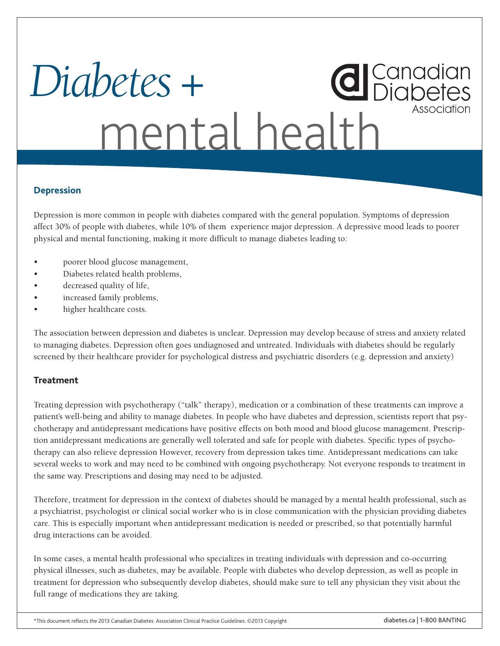# **d** Canadian *Diabetes +* Association mental health

## **Depression**

Depression is more common in people with diabetes compared with the general population. Symptoms of depression affect 30% of people with diabetes, while 10% of them experience major depression. A depressive mood leads to poorer physical and mental functioning, making it more difficult to manage diabetes leading to:

- poorer blood glucose management,
- Diabetes related health problems,
- decreased quality of life,
- increased family problems,
- higher healthcare costs.

The association between depression and diabetes is unclear. Depression may develop because of stress and anxiety related to managing diabetes. Depression often goes undiagnosed and untreated. Individuals with diabetes should be regularly screened by their healthcare provider for psychological distress and psychiatric disorders (e.g. depression and anxiety)

#### **Treatment**

Treating depression with psychotherapy ("talk" therapy), medication or a combination of these treatments can improve a patient's well-being and ability to manage diabetes. In people who have diabetes and depression, scientists report that psychotherapy and antidepressant medications have positive effects on both mood and blood glucose management. Prescription antidepressant medications are generally well tolerated and safe for people with diabetes. Specific types of psychotherapy can also relieve depression However, recovery from depression takes time. Antidepressant medications can take several weeks to work and may need to be combined with ongoing psychotherapy. Not everyone responds to treatment in the same way. Prescriptions and dosing may need to be adjusted.

Therefore, treatment for depression in the context of diabetes should be managed by a mental health professional, such as a psychiatrist, psychologist or clinical social worker who is in close communication with the physician providing diabetes care. This is especially important when antidepressant medication is needed or prescribed, so that potentially harmful drug interactions can be avoided.

In some cases, a mental health professional who specializes in treating individuals with depression and co-occurring physical illnesses, such as diabetes, may be available. People with diabetes who develop depression, as well as people in treatment for depression who subsequently develop diabetes, should make sure to tell any physician they visit about the full range of medications they are taking.

\*This document reflects the 2013 Canadian Diabetes Association Clinical Practice Guidelines. ©2013 Copyright diabetes.ca | 1-800 BANTING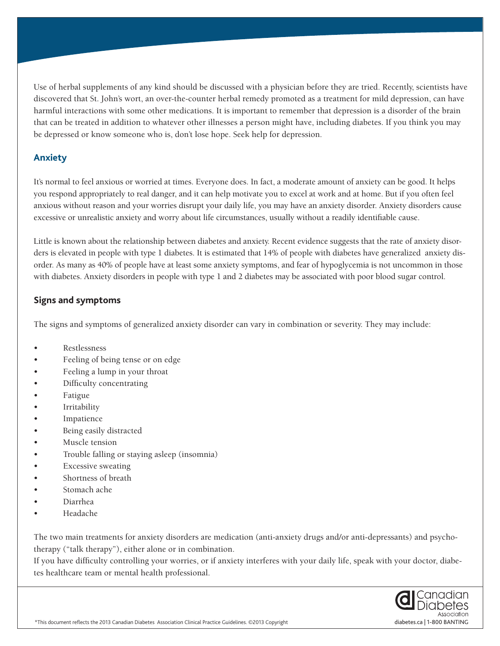Use of herbal supplements of any kind should be discussed with a physician before they are tried. Recently, scientists have discovered that St. John's wort, an over-the-counter herbal remedy promoted as a treatment for mild depression, can have harmful interactions with some other medications. It is important to remember that depression is a disorder of the brain that can be treated in addition to whatever other illnesses a person might have, including diabetes. If you think you may be depressed or know someone who is, don't lose hope. Seek help for depression.

## **Anxiety**

It's normal to feel anxious or worried at times. Everyone does. In fact, a moderate amount of anxiety can be good. It helps you respond appropriately to real danger, and it can help motivate you to excel at work and at home. But if you often feel anxious without reason and your worries disrupt your daily life, you may have an anxiety disorder. Anxiety disorders cause excessive or unrealistic anxiety and worry about life circumstances, usually without a readily identifiable cause.

Little is known about the relationship between diabetes and anxiety. Recent evidence suggests that the rate of anxiety disorders is elevated in people with type 1 diabetes. It is estimated that 14% of people with diabetes have generalized anxiety disorder. As many as 40% of people have at least some anxiety symptoms, and fear of hypoglycemia is not uncommon in those with diabetes. Anxiety disorders in people with type 1 and 2 diabetes may be associated with poor blood sugar control.

#### **Signs and symptoms**

The signs and symptoms of generalized anxiety disorder can vary in combination or severity. They may include:

- **Restlessness**
- Feeling of being tense or on edge
- Feeling a lump in your throat
- Difficulty concentrating
- **Fatigue**
- **Irritability**
- **Impatience**
- Being easily distracted
- Muscle tension
- Trouble falling or staying asleep (insomnia)
- Excessive sweating
- Shortness of breath
- Stomach ache
- Diarrhea
- • Headache

The two main treatments for anxiety disorders are medication (anti-anxiety drugs and/or anti-depressants) and psychotherapy ("talk therapy"), either alone or in combination.

If you have difficulty controlling your worries, or if anxiety interferes with your daily life, speak with your doctor, diabetes healthcare team or mental health professional.